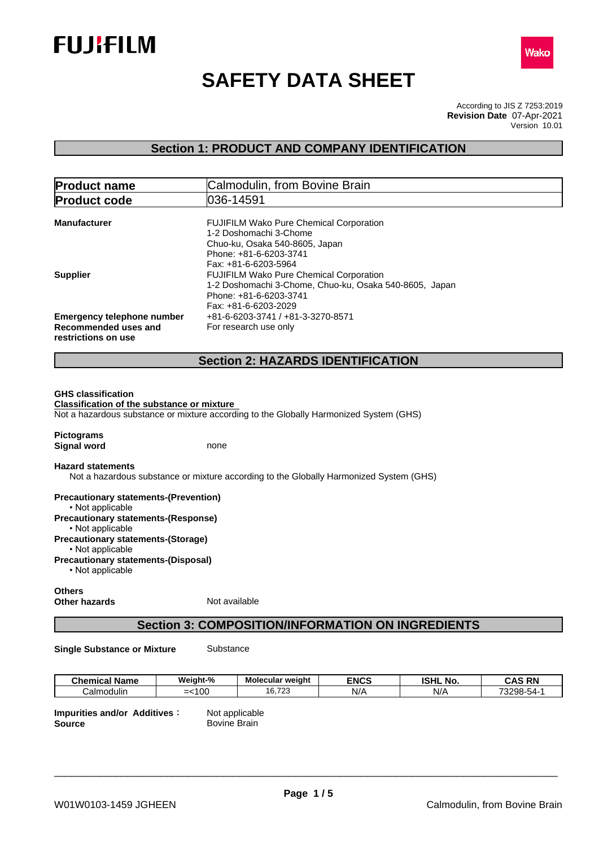



# **SAFETY DATA SHEET**

According to JIS Z 7253:2019 Version 10.01 **Revision Date** 07-Apr-2021

## **Section 1: PRODUCT AND COMPANY IDENTIFICATION**

| <b>Product name</b>                         | Calmodulin, from Bovine Brain                                                                                                      |
|---------------------------------------------|------------------------------------------------------------------------------------------------------------------------------------|
| <b>Product code</b>                         | 1036-14591                                                                                                                         |
| Manufacturer                                | <b>FUJIFILM Wako Pure Chemical Corporation</b><br>1-2 Doshomachi 3-Chome                                                           |
|                                             | Chuo-ku, Osaka 540-8605, Japan<br>Phone: +81-6-6203-3741<br>Fax: +81-6-6203-5964                                                   |
| <b>Supplier</b>                             | <b>FUJIFILM Wako Pure Chemical Corporation</b><br>1-2 Doshomachi 3-Chome, Chuo-ku, Osaka 540-8605, Japan<br>Phone: +81-6-6203-3741 |
|                                             | Fax: +81-6-6203-2029                                                                                                               |
| <b>Emergency telephone number</b>           | +81-6-6203-3741 / +81-3-3270-8571                                                                                                  |
| Recommended uses and<br>restrictions on use | For research use only                                                                                                              |
|                                             | <b>Section 2: HAZARDS IDENTIFICATION</b>                                                                                           |

#### **GHS classification**

**Classification of the substance or mixture** Not a hazardous substance or mixture according to the Globally Harmonized System (GHS)

**Pictograms Signal word** none

#### **Hazard statements**

Not a hazardous substance or mixture according to the Globally Harmonized System (GHS)

**Precautionary statements-(Prevention)** • Not applicable **Precautionary statements-(Response)** • Not applicable **Precautionary statements-(Storage)** • Not applicable **Precautionary statements-(Disposal)**  $\cdot$  Not applicable

#### **Others Other hazards** Not available

## **Section 3: COMPOSITION/INFORMATION ON INGREDIENTS**

**Single Substance or Mixture** Substance

**Chemical Name Weight-% Molecular weight ENCS ISHL No. CAS RN** Calmodulin | =<100 | 16,723 | N/A | N/A | 73298-54-1 |

**Impurities and/or Additives**<br>**Source** Bovine Brain **Bovine Brain**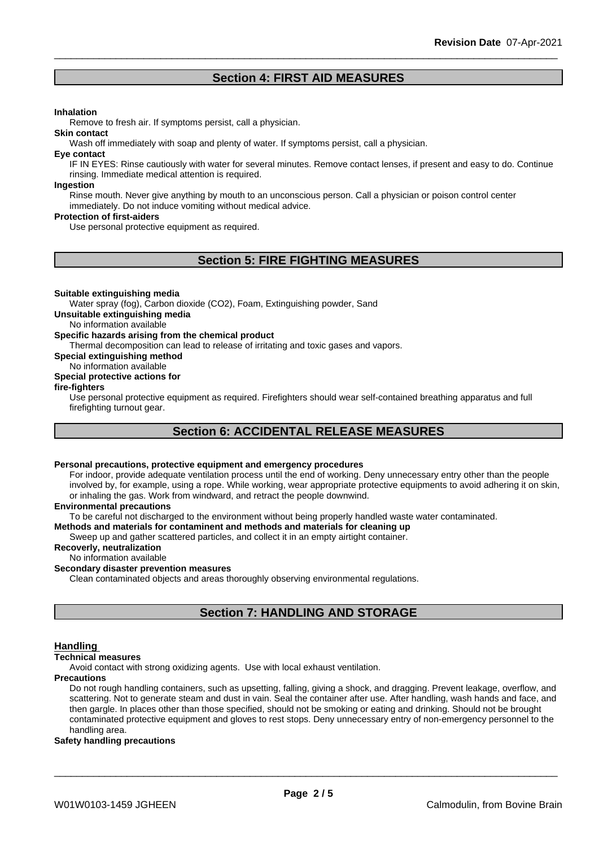## **Section 4: FIRST AID MEASURES**

#### **Inhalation**

Remove to fresh air. If symptoms persist, call a physician.

Wash off immediately with soap and plenty of water. If symptoms persist, call a physician.

#### **Eye contact**

**Skin contact**

IF IN EYES: Rinse cautiously with water for several minutes. Remove contact lenses, if present and easy to do. Continue rinsing. Immediate medical attention is required.

#### **Ingestion**

Rinse mouth. Never give anything by mouth to an unconscious person. Call a physician or poison control center immediately. Do not induce vomiting without medical advice.

#### **Protection of first-aiders**

Use personal protective equipment as required.

## **Section 5: FIRE FIGHTING MEASURES**

#### **Suitable extinguishing media**

Water spray (fog), Carbon dioxide (CO2), Foam, Extinguishing powder, Sand

**Unsuitable extinguishing media**

No information available

#### **Specific hazards arising from the chemical product**

Thermal decomposition can lead to release of irritating and toxic gases and vapors.

**Special extinguishing method**

#### No information available

#### **Special protective actions for**

#### **fire-fighters**

Use personal protective equipment as required.Firefighters should wear self-contained breathing apparatus and full firefighting turnout gear.

## **Section 6: ACCIDENTAL RELEASE MEASURES**

#### **Personal precautions, protective equipment and emergency procedures**

For indoor, provide adequate ventilation process until the end of working. Deny unnecessary entry other than the people involved by, for example, using a rope. While working, wear appropriate protective equipments to avoid adhering it on skin, or inhaling the gas. Work from windward, and retract the people downwind.

#### **Environmental precautions**

To be careful not discharged to the environment without being properly handled waste water contaminated.

#### **Methods and materials for contaminent and methods and materials for cleaning up**

Sweep up and gather scattered particles, and collect it in an empty airtight container.

### **Recoverly, neutralization**

#### No information available

#### **Secondary disaster prevention measures**

Clean contaminated objects and areas thoroughly observing environmental regulations.

## **Section 7: HANDLING AND STORAGE**

#### **Handling**

#### **Technical measures**

Avoid contact with strong oxidizing agents. Use with local exhaust ventilation.

#### **Precautions**

Do not rough handling containers, such as upsetting, falling, giving a shock, and dragging. Prevent leakage, overflow, and scattering. Not to generate steam and dust in vain. Seal the container after use. After handling, wash hands and face, and then gargle. In places other than those specified, should not be smoking or eating and drinking. Should not be brought contaminated protective equipment and gloves to rest stops. Deny unnecessary entry of non-emergency personnel to the handling area.

#### **Safety handling precautions**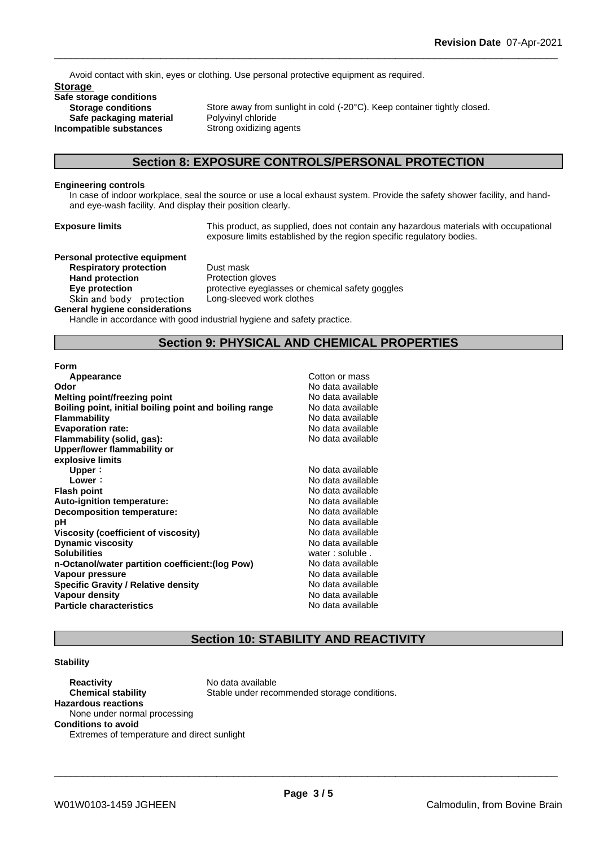Avoid contact with skin, eyes or clothing. Use personal protective equipment as required.

**Storage Safe storage conditions Safe packaging material** Polyvinyl chloride<br>**ompatible substances** Strong oxidizing agents **Incompatible** substances

**Storage conditions** Store away from sunlight in cold (-20°C). Keep container tightly closed.<br> **Safe packaging material** Polyvinyl chloride

## **Section 8: EXPOSURE CONTROLS/PERSONAL PROTECTION**

#### **Engineering controls**

In case of indoor workplace, seal the source or use a local exhaust system. Provide the safety shower facility, and handand eye-wash facility. And display their position clearly.

**Exposure limits** This product, as supplied, does not contain any hazardous materials with occupational exposure limits established by the region specific regulatory bodies.

#### **Personal protective equipment**

**Respiratory protection** Dust mask **Hand protection**<br> **Eye protection**<br> **Eye protection**<br> **Exercise** Skin and body protection Long-sleeved work clothes **General hygiene considerations**

**Eye protection** protective eyeglasses or chemical safety goggles

Handle in accordance with good industrial hygiene and safety practice.

## **Section 9: PHYSICAL AND CHEMICAL PROPERTIES**

#### **Form**

| Appearance                                             | Cotton or mass    |
|--------------------------------------------------------|-------------------|
| Odor                                                   | No data available |
| Melting point/freezing point                           | No data available |
| Boiling point, initial boiling point and boiling range | No data available |
| <b>Flammability</b>                                    | No data available |
| <b>Evaporation rate:</b>                               | No data available |
| Flammability (solid, gas):                             | No data available |
| Upper/lower flammability or                            |                   |
| explosive limits                                       |                   |
| Upper:                                                 | No data available |
| Lower:                                                 | No data available |
| <b>Flash point</b>                                     | No data available |
| <b>Auto-ignition temperature:</b>                      | No data available |
| Decomposition temperature:                             | No data available |
| рH                                                     | No data available |
| Viscosity (coefficient of viscosity)                   | No data available |
| <b>Dynamic viscosity</b>                               | No data available |
| <b>Solubilities</b>                                    | water: soluble.   |
| n-Octanol/water partition coefficient: (log Pow)       | No data available |
| Vapour pressure                                        | No data available |
| <b>Specific Gravity / Relative density</b>             | No data available |
| Vapour density                                         | No data available |
| <b>Particle characteristics</b>                        | No data available |

## **Section 10: STABILITY AND REACTIVITY**

#### **Stability**

**Reactivity** No data available **Chemical stability** Stable under recommended storage conditions. **Hazardous reactions** None under normal processing **Conditions to avoid** Extremes of temperature and direct sunlight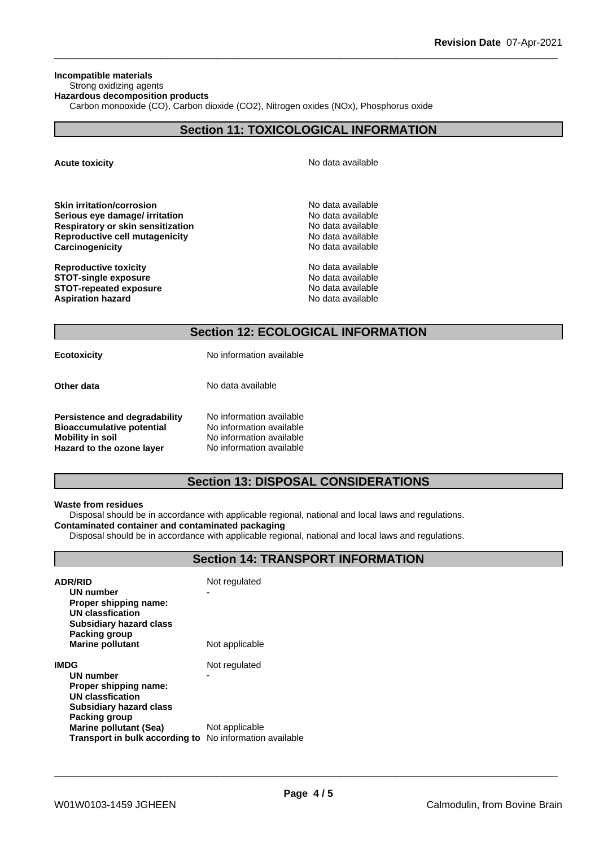### **Incompatible materials**

## Strong oxidizing agents

**Hazardous decomposition products**

Carbon monooxide (CO), Carbon dioxide (CO2), Nitrogen oxides (NOx), Phosphorus oxide

## **Section 11: TOXICOLOGICAL INFORMATION**

**Acute toxicity Acute toxicity Acute has a structure in the structure of**  $\mathbb{R}^n$  **No data available** 

| Skin irritation/corrosion         |  |
|-----------------------------------|--|
| Serious eye damage/ irritation    |  |
| Respiratory or skin sensitization |  |
| Reproductive cell mutagenicity    |  |
| Carcinogenicity                   |  |
|                                   |  |

**Reproductive toxicity**<br> **STOT-single exposure**<br> **STOT-single exposure STOT-single exposure** No data available<br> **STOT-repeated exposure** No data available **STOT-repeated exposure Aspiration hazard No data available No data available No data available** 

**Serious eye damage/ irritation** No data available **Respiratory or skin sensitization** No data available **Reproductive cell mutagenicity** No data available **Carcinogenicity** No data available

**Skin irritation/corrosion** No data available

## **Section 12: ECOLOGICAL INFORMATION**

**Ecotoxicity** No information available

**Other data** No data available

| Persistence and degradability    | No information available |
|----------------------------------|--------------------------|
| <b>Bioaccumulative potential</b> | No information available |
| <b>Mobility in soil</b>          | No information available |
| Hazard to the ozone layer        | No information available |

## **Section 13: DISPOSAL CONSIDERATIONS**

#### **Waste from residues**

Disposal should be in accordance with applicable regional, national and local laws and regulations. **Contaminated container and contaminated packaging**

Disposal should be in accordance with applicable regional, national and local laws and regulations.

## **Section 14: TRANSPORT INFORMATION**

| <b>ADR/RID</b><br>UN number<br>Proper shipping name:<br>UN classfication<br><b>Subsidiary hazard class</b> | Not regulated<br>- |
|------------------------------------------------------------------------------------------------------------|--------------------|
| Packing group<br><b>Marine pollutant</b>                                                                   | Not applicable     |
| IMDG                                                                                                       | Not regulated      |
| UN number                                                                                                  |                    |
| Proper shipping name:                                                                                      |                    |
| UN classfication                                                                                           |                    |
| Subsidiary hazard class                                                                                    |                    |
| Packing group                                                                                              |                    |
| <b>Marine pollutant (Sea)</b>                                                                              | Not applicable     |
| Transport in bulk according to No information available                                                    |                    |